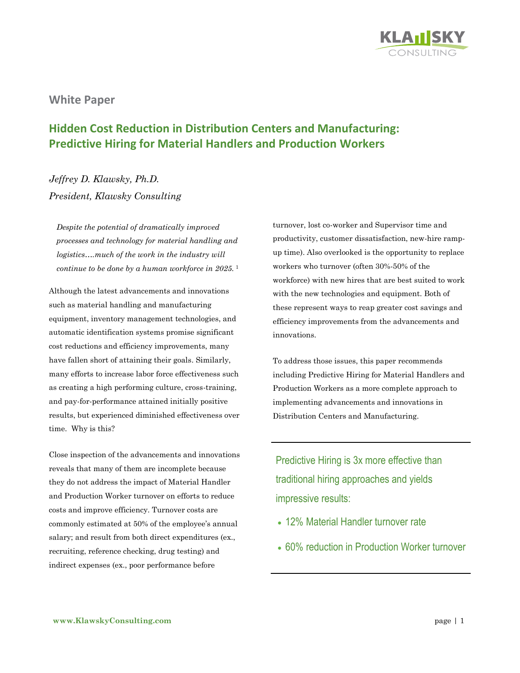

**White Paper**

# **Hidden Cost Reduction in Distribution Centers and Manufacturing: Predictive Hiring for Material Handlers and Production Workers**

*Jeffrey D. Klawsky, Ph.D. President, Klawsky Consulting*

*Despite the potential of dramatically improved processes and technology for material handling and logistics….much of the work in the industry will continue to be done by a human workforce in 2025.* <sup>1</sup>

Although the latest advancements and innovations such as material handling and manufacturing equipment, inventory management technologies, and automatic identification systems promise significant cost reductions and efficiency improvements, many have fallen short of attaining their goals. Similarly, many efforts to increase labor force effectiveness such as creating a high performing culture, cross-training, and pay-for-performance attained initially positive results, but experienced diminished effectiveness over time. Why is this?

Close inspection of the advancements and innovations reveals that many of them are incomplete because they do not address the impact of Material Handler and Production Worker turnover on efforts to reduce costs and improve efficiency. Turnover costs are commonly estimated at 50% of the employee's annual salary; and result from both direct expenditures (ex., recruiting, reference checking, drug testing) and indirect expenses (ex., poor performance before

turnover, lost co-worker and Supervisor time and productivity, customer dissatisfaction, new-hire rampup time). Also overlooked is the opportunity to replace workers who turnover (often 30%-50% of the workforce) with new hires that are best suited to work with the new technologies and equipment. Both of these represent ways to reap greater cost savings and efficiency improvements from the advancements and innovations.

To address those issues, this paper recommends including Predictive Hiring for Material Handlers and Production Workers as a more complete approach to implementing advancements and innovations in Distribution Centers and Manufacturing.

Predictive Hiring is 3x more effective than traditional hiring approaches and yields impressive results:

- 12% Material Handler turnover rate
- 60% reduction in Production Worker turnover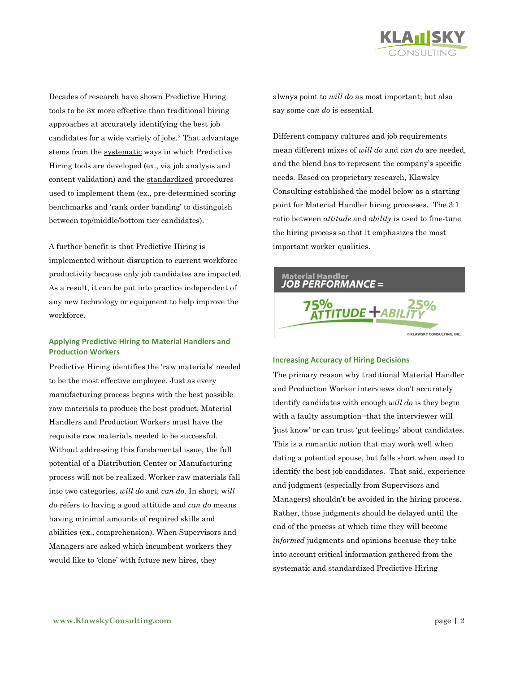

Decades of research have shown Predictive Hiring tools to be 3x more effective than traditional hiring approaches at accurately identifying the best job candidates for a wide variety of jobs.<sup>2</sup> That advantage stems from the systematic ways in which Predictive Hiring tools are developed (ex., via job analysis and content validation) and the standardized procedures used to implement them (ex., pre-determined scoring benchmarks and 'rank order banding' to distinguish between top/middle/bottom tier candidates).

A further benefit is that Predictive Hiring is implemented without disruption to current workforce productivity because only job candidates are impacted. As a result, it can be put into practice independent of any new technology or equipment to help improve the workforce.

# **Applying Predictive Hiring to Material Handlers and Production Workers**

Predictive Hiring identifies the 'raw materials' needed to be the most effective employee. Just as every manufacturing process begins with the best possible raw materials to produce the best product, Material Handlers and Production Workers must have the requisite raw materials needed to be successful. Without addressing this fundamental issue, the full potential of a Distribution Center or Manufacturing process will not be realized. Worker raw materials fall into two categories, *will do* and *can do*. In short, w*ill do* refers to having a good attitude and *can do* means having minimal amounts of required skills and abilities (ex., comprehension). When Supervisors and Managers are asked which incumbent workers they would like to 'clone' with future new hires, they

always point to *will do* as most important; but also say some *can do* is essential.

Different company cultures and job requirements mean different mixes of *will do* and *can do* are needed, and the blend has to represent the company's specific needs. Based on proprietary research, Klawsky Consulting established the model below as a starting point for Material Handler hiring processes. The 3:1 ratio between *attitude* and *ability* is used to fine-tune the hiring process so that it emphasizes the most important worker qualities.



## **Increasing Accuracy of Hiring Decisions**

The primary reason why traditional Material Handler and Production Worker interviews don't accurately identify candidates with enough *will do* is they begin with a faulty assumption−that the interviewer will 'just know' or can trust 'gut feelings' about candidates. This is a romantic notion that may work well when dating a potential spouse, but falls short when used to identify the best job candidates. That said, experience and judgment (especially from Supervisors and Managers) shouldn't be avoided in the hiring process. Rather, those judgments should be delayed until the end of the process at which time they will become *informed* judgments and opinions because they take into account critical information gathered from the systematic and standardized Predictive Hiring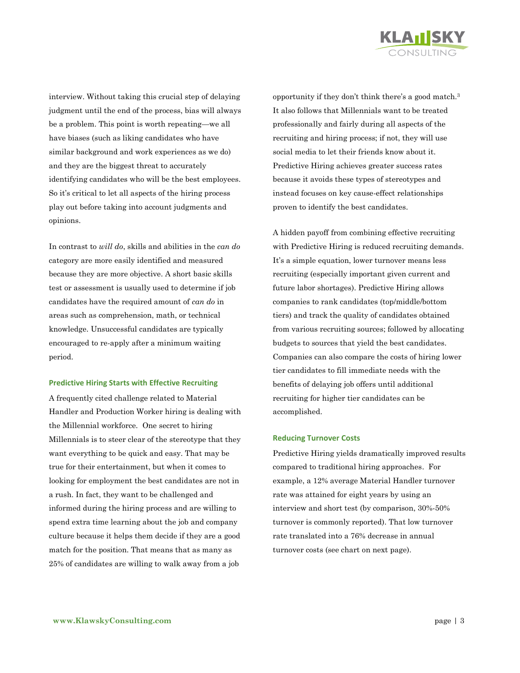

interview. Without taking this crucial step of delaying judgment until the end of the process, bias will always be a problem. This point is worth repeating—we all have biases (such as liking candidates who have similar background and work experiences as we do) and they are the biggest threat to accurately identifying candidates who will be the best employees. So it's critical to let all aspects of the hiring process play out before taking into account judgments and opinions.

In contrast to *will do*, skills and abilities in the *can do* category are more easily identified and measured because they are more objective. A short basic skills test or assessment is usually used to determine if job candidates have the required amount of *can do* in areas such as comprehension, math, or technical knowledge. Unsuccessful candidates are typically encouraged to re-apply after a minimum waiting period.

## **Predictive Hiring Starts with Effective Recruiting**

A frequently cited challenge related to Material Handler and Production Worker hiring is dealing with the Millennial workforce*.* One secret to hiring Millennials is to steer clear of the stereotype that they want everything to be quick and easy. That may be true for their entertainment, but when it comes to looking for employment the best candidates are not in a rush. In fact, they want to be challenged and informed during the hiring process and are willing to spend extra time learning about the job and company culture because it helps them decide if they are a good match for the position. That means that as many as 25% of candidates are willing to walk away from a job

opportunity if they don't think there's a good match.<sup>3</sup> It also follows that Millennials want to be treated professionally and fairly during all aspects of the recruiting and hiring process; if not, they will use social media to let their friends know about it. Predictive Hiring achieves greater success rates because it avoids these types of stereotypes and instead focuses on key cause-effect relationships proven to identify the best candidates.

A hidden payoff from combining effective recruiting with Predictive Hiring is reduced recruiting demands. It's a simple equation, lower turnover means less recruiting (especially important given current and future labor shortages). Predictive Hiring allows companies to rank candidates (top/middle/bottom tiers) and track the quality of candidates obtained from various recruiting sources; followed by allocating budgets to sources that yield the best candidates. Companies can also compare the costs of hiring lower tier candidates to fill immediate needs with the benefits of delaying job offers until additional recruiting for higher tier candidates can be accomplished.

#### **Reducing Turnover Costs**

Predictive Hiring yields dramatically improved results compared to traditional hiring approaches. For example, a 12% average Material Handler turnover rate was attained for eight years by using an interview and short test (by comparison, 30%-50% turnover is commonly reported). That low turnover rate translated into a 76% decrease in annual turnover costs (see chart on next page).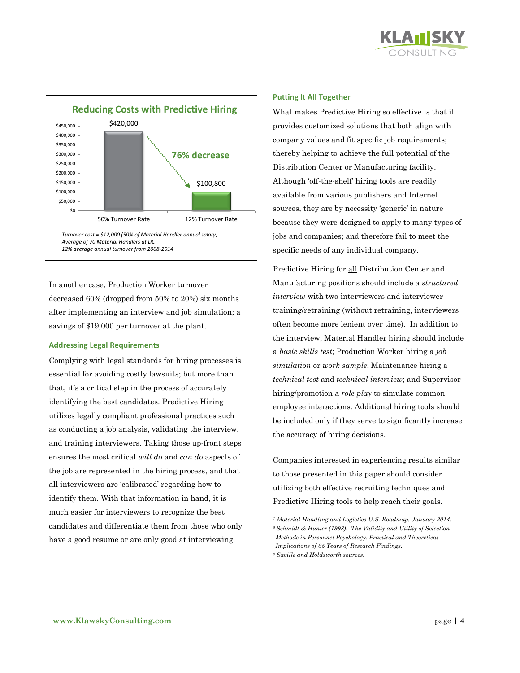



*Turnover cost = \$12,000 (50% of Material Handler annual salary) Average of 70 Material Handlers at DC 12% average annual turnover from 2008-2014*

In another case, Production Worker turnover decreased 60% (dropped from 50% to 20%) six months after implementing an interview and job simulation; a savings of \$19,000 per turnover at the plant.

## **Addressing Legal Requirements**

Complying with legal standards for hiring processes is essential for avoiding costly lawsuits; but more than that, it's a critical step in the process of accurately identifying the best candidates. Predictive Hiring utilizes legally compliant professional practices such as conducting a job analysis, validating the interview, and training interviewers. Taking those up-front steps ensures the most critical *will do* and *can do* aspects of the job are represented in the hiring process, and that all interviewers are 'calibrated' regarding how to identify them. With that information in hand, it is much easier for interviewers to recognize the best candidates and differentiate them from those who only have a good resume or are only good at interviewing.

## **Putting It All Together**

What makes Predictive Hiring so effective is that it provides customized solutions that both align with company values and fit specific job requirements; thereby helping to achieve the full potential of the Distribution Center or Manufacturing facility. Although 'off-the-shelf' hiring tools are readily available from various publishers and Internet sources, they are by necessity 'generic' in nature because they were designed to apply to many types of jobs and companies; and therefore fail to meet the specific needs of any individual company.

Predictive Hiring for all Distribution Center and Manufacturing positions should include a *structured interview* with two interviewers and interviewer training/retraining (without retraining, interviewers often become more lenient over time). In addition to the interview, Material Handler hiring should include a *basic skills test*; Production Worker hiring a *job simulation* or *work sample*; Maintenance hiring a *technical test* and *technical interview*; and Supervisor hiring/promotion a *role play* to simulate common employee interactions. Additional hiring tools should be included only if they serve to significantly increase the accuracy of hiring decisions.

Companies interested in experiencing results similar to those presented in this paper should consider utilizing both effective recruiting techniques and Predictive Hiring tools to help reach their goals.

*<sup>1</sup> Material Handling and Logistics U.S. Roadmap, January 2014. <sup>2</sup>Schmidt & Hunter (1998). The Validity and Utility of Selection Methods in Personnel Psychology: Practical and Theoretical Implications of 85 Years of Research Findings. <sup>3</sup> Saville and Holdsworth sources.*